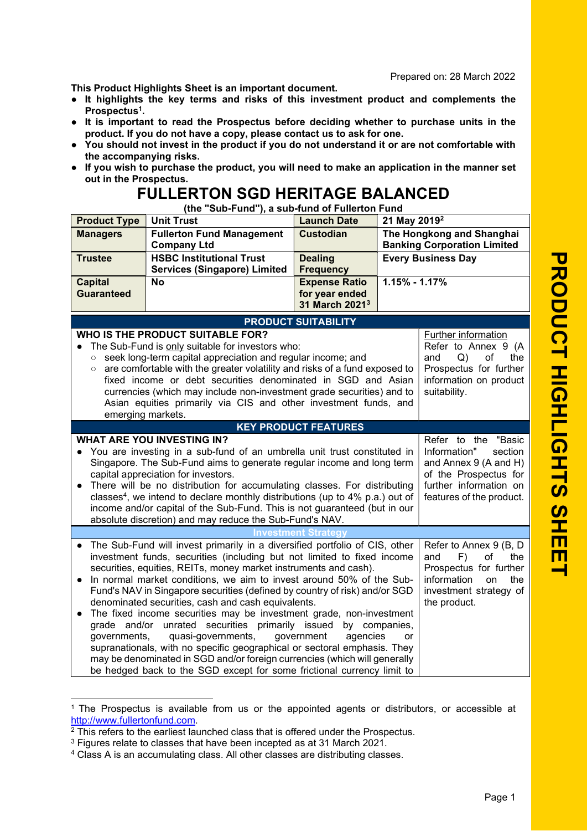This Product Highlights Sheet is an important document.

- It highlights the key terms and risks of this investment product and complements the Prospectus<sup>1</sup>.
- It is important to read the Prospectus before deciding whether to purchase units in the product. If you do not have a copy, please contact us to ask for one.
- You should not invest in the product if you do not understand it or are not comfortable with the accompanying risks.
- If you wish to purchase the product, you will need to make an application in the manner set out in the Prospectus.

## FULLERTON SGD HERITAGE BALANCED

(the "Sub-Fund"), a sub-fund of Fullerton Fund

| <b>Product Type</b>                                                                                                                              | <b>Unit Trust</b>                                                                                                                                                    | <b>Launch Date</b>                 | 21 May 2019 <sup>2</sup>                                        |                                                 |
|--------------------------------------------------------------------------------------------------------------------------------------------------|----------------------------------------------------------------------------------------------------------------------------------------------------------------------|------------------------------------|-----------------------------------------------------------------|-------------------------------------------------|
| <b>Managers</b>                                                                                                                                  | <b>Fullerton Fund Management</b><br><b>Company Ltd</b>                                                                                                               | <b>Custodian</b>                   | The Hongkong and Shanghai<br><b>Banking Corporation Limited</b> |                                                 |
| <b>Trustee</b>                                                                                                                                   | <b>HSBC Institutional Trust</b>                                                                                                                                      |                                    |                                                                 | <b>Every Business Day</b>                       |
|                                                                                                                                                  | <b>Services (Singapore) Limited</b>                                                                                                                                  | <b>Dealing</b><br><b>Frequency</b> |                                                                 |                                                 |
| <b>Capital</b>                                                                                                                                   | <b>No</b>                                                                                                                                                            | <b>Expense Ratio</b>               | $1.15\% - 1.17\%$                                               |                                                 |
| <b>Guaranteed</b>                                                                                                                                |                                                                                                                                                                      | for year ended                     |                                                                 |                                                 |
|                                                                                                                                                  |                                                                                                                                                                      | 31 March 2021 <sup>3</sup>         |                                                                 |                                                 |
|                                                                                                                                                  |                                                                                                                                                                      | <b>PRODUCT SUITABILITY</b>         |                                                                 |                                                 |
|                                                                                                                                                  | WHO IS THE PRODUCT SUITABLE FOR?                                                                                                                                     |                                    |                                                                 | Further information                             |
|                                                                                                                                                  | The Sub-Fund is only suitable for investors who:                                                                                                                     |                                    |                                                                 | Refer to Annex 9 (A                             |
| $\circ$                                                                                                                                          | seek long-term capital appreciation and regular income; and                                                                                                          |                                    |                                                                 | and<br>Q)<br>of<br>the                          |
| $\circ$                                                                                                                                          | are comfortable with the greater volatility and risks of a fund exposed to                                                                                           |                                    |                                                                 | Prospectus for further                          |
|                                                                                                                                                  | fixed income or debt securities denominated in SGD and Asian                                                                                                         |                                    |                                                                 | information on product                          |
|                                                                                                                                                  | currencies (which may include non-investment grade securities) and to<br>Asian equities primarily via CIS and other investment funds, and                            |                                    |                                                                 | suitability.                                    |
| emerging markets.                                                                                                                                |                                                                                                                                                                      |                                    |                                                                 |                                                 |
|                                                                                                                                                  |                                                                                                                                                                      | <b>KEY PRODUCT FEATURES</b>        |                                                                 |                                                 |
|                                                                                                                                                  | <b>WHAT ARE YOU INVESTING IN?</b><br>Refer to the<br>"Basic                                                                                                          |                                    |                                                                 |                                                 |
|                                                                                                                                                  | You are investing in a sub-fund of an umbrella unit trust constituted in<br>Information"                                                                             |                                    |                                                                 | section                                         |
|                                                                                                                                                  | Singapore. The Sub-Fund aims to generate regular income and long term                                                                                                |                                    |                                                                 | and Annex 9 (A and H)                           |
|                                                                                                                                                  | capital appreciation for investors.                                                                                                                                  |                                    |                                                                 | of the Prospectus for<br>further information on |
|                                                                                                                                                  | There will be no distribution for accumulating classes. For distributing<br>classes <sup>4</sup> , we intend to declare monthly distributions (up to 4% p.a.) out of |                                    |                                                                 | features of the product.                        |
|                                                                                                                                                  | income and/or capital of the Sub-Fund. This is not guaranteed (but in our                                                                                            |                                    |                                                                 |                                                 |
|                                                                                                                                                  | absolute discretion) and may reduce the Sub-Fund's NAV.                                                                                                              |                                    |                                                                 |                                                 |
|                                                                                                                                                  | Investment                                                                                                                                                           |                                    |                                                                 |                                                 |
|                                                                                                                                                  | The Sub-Fund will invest primarily in a diversified portfolio of CIS, other                                                                                          |                                    |                                                                 | Refer to Annex 9 (B, D                          |
|                                                                                                                                                  | investment funds, securities (including but not limited to fixed income                                                                                              |                                    |                                                                 | F)<br>of<br>and<br>the                          |
|                                                                                                                                                  | securities, equities, REITs, money market instruments and cash).                                                                                                     |                                    |                                                                 | Prospectus for further<br>information<br>the    |
|                                                                                                                                                  | In normal market conditions, we aim to invest around 50% of the Sub-                                                                                                 |                                    |                                                                 | on<br>investment strategy of                    |
| Fund's NAV in Singapore securities (defined by country of risk) and/or SGD<br>denominated securities, cash and cash equivalents.<br>the product. |                                                                                                                                                                      |                                    |                                                                 |                                                 |
|                                                                                                                                                  | The fixed income securities may be investment grade, non-investment                                                                                                  |                                    |                                                                 |                                                 |
|                                                                                                                                                  | grade and/or unrated securities primarily issued by companies,                                                                                                       |                                    |                                                                 |                                                 |
| governments,                                                                                                                                     | quasi-governments,                                                                                                                                                   | government<br>agencies             | or                                                              |                                                 |
|                                                                                                                                                  | supranationals, with no specific geographical or sectoral emphasis. They                                                                                             |                                    |                                                                 |                                                 |
|                                                                                                                                                  | may be denominated in SGD and/or foreign currencies (which will generally                                                                                            |                                    |                                                                 |                                                 |
|                                                                                                                                                  | be hedged back to the SGD except for some frictional currency limit to                                                                                               |                                    |                                                                 |                                                 |

<sup>1</sup> The Prospectus is available from us or the appointed agents or distributors, or accessible at http://www.fullertonfund.com.

<sup>&</sup>lt;sup>2</sup> This refers to the earliest launched class that is offered under the Prospectus.

<sup>&</sup>lt;sup>3</sup> Figures relate to classes that have been incepted as at 31 March 2021.

<sup>4</sup> Class A is an accumulating class. All other classes are distributing classes.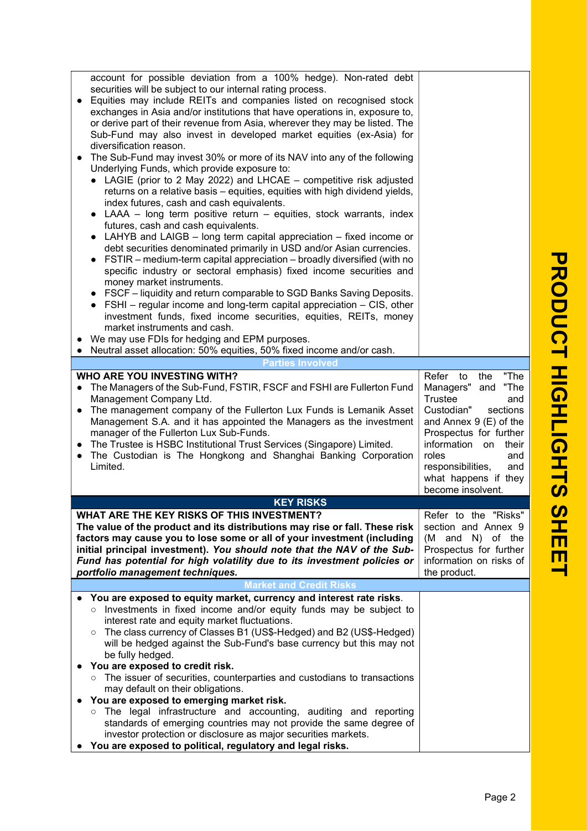| account for possible deviation from a 100% hedge). Non-rated debt<br>securities will be subject to our internal rating process.<br>Equities may include REITs and companies listed on recognised stock<br>exchanges in Asia and/or institutions that have operations in, exposure to,<br>or derive part of their revenue from Asia, wherever they may be listed. The<br>Sub-Fund may also invest in developed market equities (ex-Asia) for<br>diversification reason.<br>The Sub-Fund may invest 30% or more of its NAV into any of the following<br>Underlying Funds, which provide exposure to:<br>• LAGIE (prior to 2 May 2022) and LHCAE - competitive risk adjusted<br>returns on a relative basis - equities, equities with high dividend yields,<br>index futures, cash and cash equivalents.<br>• LAAA – long term positive return – equities, stock warrants, index<br>futures, cash and cash equivalents.<br>LAHYB and LAIGB – long term capital appreciation – fixed income or<br>debt securities denominated primarily in USD and/or Asian currencies.<br>FSTIR – medium-term capital appreciation – broadly diversified (with no<br>specific industry or sectoral emphasis) fixed income securities and<br>money market instruments.<br>• FSCF – liquidity and return comparable to SGD Banks Saving Deposits.<br>• FSHI - regular income and long-term capital appreciation - CIS, other<br>investment funds, fixed income securities, equities, REITs, money<br>market instruments and cash.<br>We may use FDIs for hedging and EPM purposes.<br>Neutral asset allocation: 50% equities, 50% fixed income and/or cash.<br>$\bullet$ |                                                                                                                                                                                                                                                                      |
|-----------------------------------------------------------------------------------------------------------------------------------------------------------------------------------------------------------------------------------------------------------------------------------------------------------------------------------------------------------------------------------------------------------------------------------------------------------------------------------------------------------------------------------------------------------------------------------------------------------------------------------------------------------------------------------------------------------------------------------------------------------------------------------------------------------------------------------------------------------------------------------------------------------------------------------------------------------------------------------------------------------------------------------------------------------------------------------------------------------------------------------------------------------------------------------------------------------------------------------------------------------------------------------------------------------------------------------------------------------------------------------------------------------------------------------------------------------------------------------------------------------------------------------------------------------------------------------------------------------------------------------------------------|----------------------------------------------------------------------------------------------------------------------------------------------------------------------------------------------------------------------------------------------------------------------|
| <b>Parties Involved</b>                                                                                                                                                                                                                                                                                                                                                                                                                                                                                                                                                                                                                                                                                                                                                                                                                                                                                                                                                                                                                                                                                                                                                                                                                                                                                                                                                                                                                                                                                                                                                                                                                             |                                                                                                                                                                                                                                                                      |
| <b>WHO ARE YOU INVESTING WITH?</b><br>The Managers of the Sub-Fund, FSTIR, FSCF and FSHI are Fullerton Fund<br>$\bullet$<br>Management Company Ltd.<br>The management company of the Fullerton Lux Funds is Lemanik Asset<br>$\bullet$<br>Management S.A. and it has appointed the Managers as the investment<br>manager of the Fullerton Lux Sub-Funds.<br>The Trustee is HSBC Institutional Trust Services (Singapore) Limited.<br>$\bullet$<br>The Custodian is The Hongkong and Shanghai Banking Corporation<br>$\bullet$<br>Limited.                                                                                                                                                                                                                                                                                                                                                                                                                                                                                                                                                                                                                                                                                                                                                                                                                                                                                                                                                                                                                                                                                                           | "The<br>Refer to<br>the<br>"The<br>Managers" and<br>Trustee<br>and<br>Custodian"<br>sections<br>and Annex 9 (E) of the<br>Prospectus for further<br>information on<br>their<br>roles<br>and<br>responsibilities,<br>and<br>what happens if they<br>become insolvent. |
| <b>KEY RISKS</b>                                                                                                                                                                                                                                                                                                                                                                                                                                                                                                                                                                                                                                                                                                                                                                                                                                                                                                                                                                                                                                                                                                                                                                                                                                                                                                                                                                                                                                                                                                                                                                                                                                    |                                                                                                                                                                                                                                                                      |
| WHAT ARE THE KEY RISKS OF THIS INVESTMENT?<br>The value of the product and its distributions may rise or fall. These risk<br>factors may cause you to lose some or all of your investment (including<br>initial principal investment). You should note that the NAV of the Sub-<br>Fund has potential for high volatility due to its investment policies or<br>portfolio management techniques.<br><b>Market and Credit Risks</b>                                                                                                                                                                                                                                                                                                                                                                                                                                                                                                                                                                                                                                                                                                                                                                                                                                                                                                                                                                                                                                                                                                                                                                                                                   | Refer to the "Risks"<br>section and Annex 9<br>(M and N) of the<br>Prospectus for further<br>information on risks of<br>the product.                                                                                                                                 |
| You are exposed to equity market, currency and interest rate risks.                                                                                                                                                                                                                                                                                                                                                                                                                                                                                                                                                                                                                                                                                                                                                                                                                                                                                                                                                                                                                                                                                                                                                                                                                                                                                                                                                                                                                                                                                                                                                                                 |                                                                                                                                                                                                                                                                      |
| Investments in fixed income and/or equity funds may be subject to<br>$\circ$<br>interest rate and equity market fluctuations.<br>The class currency of Classes B1 (US\$-Hedged) and B2 (US\$-Hedged)<br>$\circ$<br>will be hedged against the Sub-Fund's base currency but this may not<br>be fully hedged.<br>You are exposed to credit risk.<br>○ The issuer of securities, counterparties and custodians to transactions<br>may default on their obligations.<br>You are exposed to emerging market risk.<br>$\circ$ The legal infrastructure and accounting, auditing and reporting<br>standards of emerging countries may not provide the same degree of<br>investor protection or disclosure as major securities markets.                                                                                                                                                                                                                                                                                                                                                                                                                                                                                                                                                                                                                                                                                                                                                                                                                                                                                                                     |                                                                                                                                                                                                                                                                      |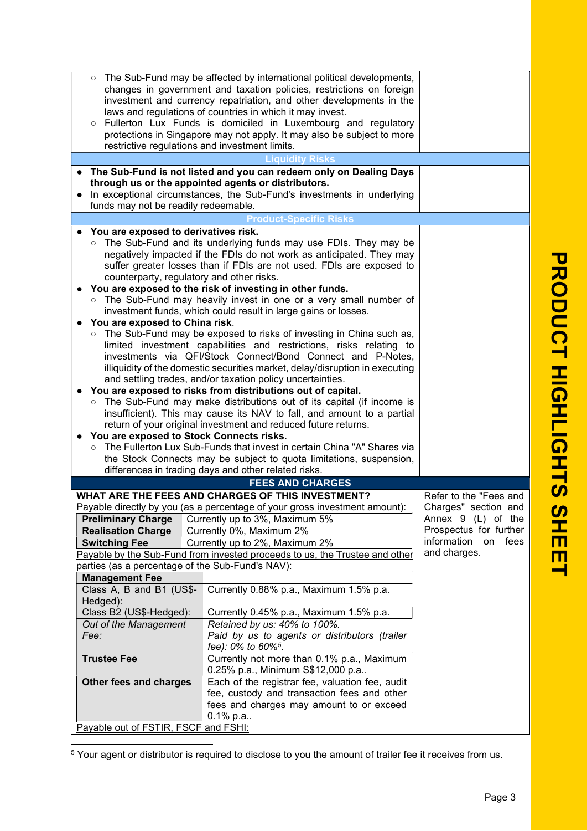| Fee:<br><b>Trustee Fee</b><br>Other fees and charges      | fee): 0% to 60% <sup>5</sup> .<br>Currently not more than 0.1% p.a., Maximum<br>0.25% p.a., Minimum S\$12,000 p.a<br>Each of the registrar fee, valuation fee, audit<br>fee, custody and transaction fees and other |                                                |  |
|-----------------------------------------------------------|---------------------------------------------------------------------------------------------------------------------------------------------------------------------------------------------------------------------|------------------------------------------------|--|
|                                                           |                                                                                                                                                                                                                     |                                                |  |
|                                                           |                                                                                                                                                                                                                     |                                                |  |
|                                                           |                                                                                                                                                                                                                     |                                                |  |
|                                                           | Paid by us to agents or distributors (trailer                                                                                                                                                                       |                                                |  |
| Retained by us: 40% to 100%.<br>Out of the Management     |                                                                                                                                                                                                                     |                                                |  |
| Class B2 (US\$-Hedged):                                   | Currently 0.45% p.a., Maximum 1.5% p.a.                                                                                                                                                                             |                                                |  |
| Class A, B and B1 (US\$-<br>Hedged):                      | Currently 0.88% p.a., Maximum 1.5% p.a.                                                                                                                                                                             |                                                |  |
| <b>Management Fee</b>                                     |                                                                                                                                                                                                                     |                                                |  |
|                                                           | parties (as a percentage of the Sub-Fund's NAV):                                                                                                                                                                    |                                                |  |
|                                                           | Payable by the Sub-Fund from invested proceeds to us, the Trustee and other                                                                                                                                         | and charges.                                   |  |
| <b>Switching Fee</b>                                      | Currently up to 2%, Maximum 2%                                                                                                                                                                                      | information on fees                            |  |
| <b>Realisation Charge</b>                                 | Currently 0%, Maximum 2%                                                                                                                                                                                            | Prospectus for further                         |  |
| <b>Preliminary Charge</b>                                 | Payable directly by you (as a percentage of your gross investment amount):<br>Currently up to 3%, Maximum 5%                                                                                                        | Annex 9 (L) of the                             |  |
|                                                           | WHAT ARE THE FEES AND CHARGES OF THIS INVESTMENT?                                                                                                                                                                   | Refer to the "Fees and<br>Charges" section and |  |
|                                                           | <b>FEES AND CHARGES</b>                                                                                                                                                                                             |                                                |  |
|                                                           | differences in trading days and other related risks.                                                                                                                                                                |                                                |  |
|                                                           | the Stock Connects may be subject to quota limitations, suspension,                                                                                                                                                 |                                                |  |
| $\circ$                                                   | The Fullerton Lux Sub-Funds that invest in certain China "A" Shares via                                                                                                                                             |                                                |  |
| $\bullet$                                                 | You are exposed to Stock Connects risks.                                                                                                                                                                            |                                                |  |
|                                                           | return of your original investment and reduced future returns.                                                                                                                                                      |                                                |  |
|                                                           | insufficient). This may cause its NAV to fall, and amount to a partial                                                                                                                                              |                                                |  |
| $\circ$                                                   | You are exposed to risks from distributions out of capital.<br>The Sub-Fund may make distributions out of its capital (if income is                                                                                 |                                                |  |
|                                                           | and settling trades, and/or taxation policy uncertainties.                                                                                                                                                          |                                                |  |
|                                                           | illiquidity of the domestic securities market, delay/disruption in executing                                                                                                                                        |                                                |  |
|                                                           | investments via QFI/Stock Connect/Bond Connect and P-Notes,                                                                                                                                                         |                                                |  |
|                                                           | The Sub-Fund may be exposed to risks of investing in China such as,<br>$\circ$<br>limited investment capabilities and restrictions, risks relating to                                                               |                                                |  |
| You are exposed to China risk.                            |                                                                                                                                                                                                                     |                                                |  |
|                                                           | investment funds, which could result in large gains or losses.                                                                                                                                                      |                                                |  |
| $\circ$                                                   | The Sub-Fund may heavily invest in one or a very small number of                                                                                                                                                    |                                                |  |
|                                                           | You are exposed to the risk of investing in other funds.                                                                                                                                                            |                                                |  |
|                                                           | suffer greater losses than if FDIs are not used. FDIs are exposed to<br>counterparty, regulatory and other risks.                                                                                                   |                                                |  |
|                                                           | negatively impacted if the FDIs do not work as anticipated. They may                                                                                                                                                |                                                |  |
| $\circ$                                                   | The Sub-Fund and its underlying funds may use FDIs. They may be                                                                                                                                                     |                                                |  |
| You are exposed to derivatives risk.                      |                                                                                                                                                                                                                     |                                                |  |
|                                                           | <b>Product-Specific Risks</b>                                                                                                                                                                                       |                                                |  |
| funds may not be readily redeemable.                      | through us or the appointed agents or distributors.<br>In exceptional circumstances, the Sub-Fund's investments in underlying                                                                                       |                                                |  |
|                                                           | The Sub-Fund is not listed and you can redeem only on Dealing Days                                                                                                                                                  |                                                |  |
|                                                           | <b>Liquidity Risks</b>                                                                                                                                                                                              |                                                |  |
|                                                           | restrictive regulations and investment limits.                                                                                                                                                                      |                                                |  |
|                                                           | Fullerton Lux Funds is domiciled in Luxembourg and regulatory<br>protections in Singapore may not apply. It may also be subject to more                                                                             |                                                |  |
| laws and regulations of countries in which it may invest. |                                                                                                                                                                                                                     |                                                |  |
|                                                           | investment and currency repatriation, and other developments in the                                                                                                                                                 |                                                |  |
|                                                           | o The Sub-Fund may be affected by international political developments,<br>changes in government and taxation policies, restrictions on foreign                                                                     |                                                |  |
|                                                           |                                                                                                                                                                                                                     |                                                |  |

<sup>5</sup> Your agent or distributor is required to disclose to you the amount of trailer fee it receives from us.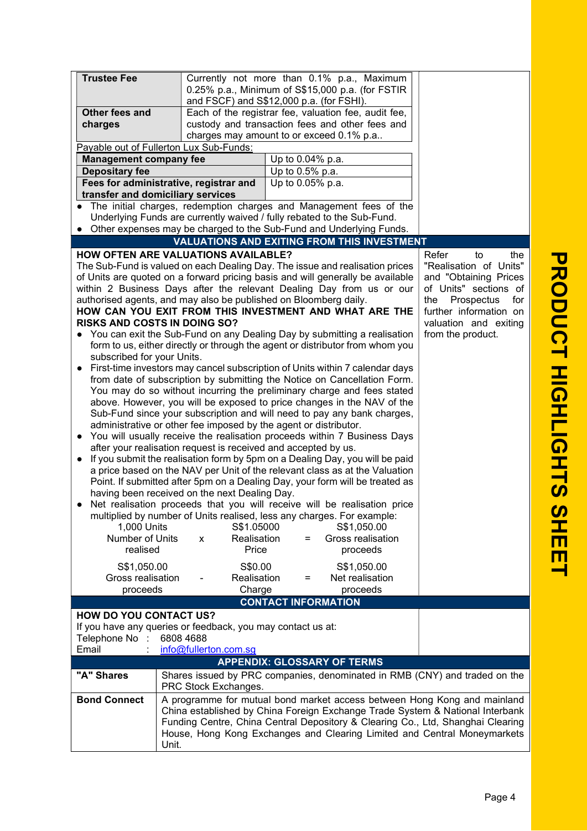| <b>Trustee Fee</b>                                                       |                                                                         | Currently not more than 0.1% p.a., Maximum                                      |                          |
|--------------------------------------------------------------------------|-------------------------------------------------------------------------|---------------------------------------------------------------------------------|--------------------------|
|                                                                          |                                                                         | 0.25% p.a., Minimum of S\$15,000 p.a. (for FSTIR                                |                          |
|                                                                          |                                                                         | and FSCF) and S\$12,000 p.a. (for FSHI).                                        |                          |
| Other fees and                                                           |                                                                         | Each of the registrar fee, valuation fee, audit fee,                            |                          |
| charges                                                                  |                                                                         | custody and transaction fees and other fees and                                 |                          |
|                                                                          |                                                                         | charges may amount to or exceed 0.1% p.a                                        |                          |
| Payable out of Fullerton Lux Sub-Funds:                                  |                                                                         |                                                                                 |                          |
| <b>Management company fee</b>                                            |                                                                         | Up to 0.04% p.a.                                                                |                          |
| <b>Depositary fee</b>                                                    |                                                                         | Up to 0.5% p.a.                                                                 |                          |
| Fees for administrative, registrar and                                   |                                                                         | Up to 0.05% p.a.                                                                |                          |
| transfer and domiciliary services                                        |                                                                         |                                                                                 |                          |
|                                                                          |                                                                         | • The initial charges, redemption charges and Management fees of the            |                          |
|                                                                          |                                                                         | Underlying Funds are currently waived / fully rebated to the Sub-Fund.          |                          |
|                                                                          |                                                                         | • Other expenses may be charged to the Sub-Fund and Underlying Funds.           |                          |
|                                                                          |                                                                         | <b>VALUATIONS AND EXITING FROM THIS INVESTMENT</b>                              |                          |
| <b>HOW OFTEN ARE VALUATIONS AVAILABLE?</b>                               |                                                                         |                                                                                 | Refer<br>the<br>to       |
|                                                                          |                                                                         | The Sub-Fund is valued on each Dealing Day. The issue and realisation prices    | "Realisation of Units"   |
|                                                                          |                                                                         | of Units are quoted on a forward pricing basis and will generally be available  | and "Obtaining Prices    |
|                                                                          |                                                                         | within 2 Business Days after the relevant Dealing Day from us or our            | of Units" sections of    |
|                                                                          |                                                                         | authorised agents, and may also be published on Bloomberg daily.                | for<br>the<br>Prospectus |
|                                                                          |                                                                         | HOW CAN YOU EXIT FROM THIS INVESTMENT AND WHAT ARE THE                          | further information on   |
| <b>RISKS AND COSTS IN DOING SO?</b>                                      |                                                                         |                                                                                 | valuation and exiting    |
|                                                                          |                                                                         | • You can exit the Sub-Fund on any Dealing Day by submitting a realisation      | from the product.        |
|                                                                          |                                                                         | form to us, either directly or through the agent or distributor from whom you   |                          |
| subscribed for your Units.                                               |                                                                         |                                                                                 |                          |
| $\bullet$                                                                |                                                                         | First-time investors may cancel subscription of Units within 7 calendar days    |                          |
|                                                                          |                                                                         | from date of subscription by submitting the Notice on Cancellation Form.        |                          |
|                                                                          |                                                                         | You may do so without incurring the preliminary charge and fees stated          |                          |
|                                                                          |                                                                         | above. However, you will be exposed to price changes in the NAV of the          |                          |
|                                                                          | Sub-Fund since your subscription and will need to pay any bank charges, |                                                                                 |                          |
|                                                                          |                                                                         | administrative or other fee imposed by the agent or distributor.                |                          |
| You will usually receive the realisation proceeds within 7 Business Days |                                                                         |                                                                                 |                          |
| after your realisation request is received and accepted by us.           |                                                                         |                                                                                 |                          |
| $\bullet$                                                                |                                                                         | If you submit the realisation form by 5pm on a Dealing Day, you will be paid    |                          |
|                                                                          |                                                                         | a price based on the NAV per Unit of the relevant class as at the Valuation     |                          |
|                                                                          |                                                                         | Point. If submitted after 5pm on a Dealing Day, your form will be treated as    |                          |
|                                                                          | having been received on the next Dealing Day.                           |                                                                                 |                          |
|                                                                          |                                                                         | Net realisation proceeds that you will receive will be realisation price        |                          |
|                                                                          |                                                                         | multiplied by number of Units realised, less any charges. For example:          |                          |
| 1,000 Units                                                              | S\$1.05000                                                              | S\$1,050.00                                                                     |                          |
| Number of Units                                                          | Realisation<br>X                                                        | Gross realisation<br>Ξ                                                          |                          |
| realised                                                                 | Price                                                                   | proceeds                                                                        |                          |
| S\$1,050.00                                                              | S\$0.00                                                                 | S\$1,050.00                                                                     |                          |
| Gross realisation                                                        | Realisation                                                             | Net realisation<br>$=$                                                          |                          |
| proceeds                                                                 | Charge                                                                  | proceeds                                                                        |                          |
|                                                                          |                                                                         | <b>CONTACT INFORMATION</b>                                                      |                          |
| <b>HOW DO YOU CONTACT US?</b>                                            |                                                                         |                                                                                 |                          |
| If you have any queries or feedback, you may contact us at:              |                                                                         |                                                                                 |                          |
| Telephone No :                                                           | 6808 4688                                                               |                                                                                 |                          |
| Email                                                                    | info@fullerton.com.sg                                                   |                                                                                 |                          |
|                                                                          |                                                                         | <b>APPENDIX: GLOSSARY OF TERMS</b>                                              |                          |
| "A" Shares                                                               |                                                                         | Shares issued by PRC companies, denominated in RMB (CNY) and traded on the      |                          |
|                                                                          | PRC Stock Exchanges.                                                    |                                                                                 |                          |
| <b>Bond Connect</b>                                                      |                                                                         | A programme for mutual bond market access between Hong Kong and mainland        |                          |
|                                                                          |                                                                         | China established by China Foreign Exchange Trade System & National Interbank   |                          |
|                                                                          |                                                                         | Funding Centre, China Central Depository & Clearing Co., Ltd, Shanghai Clearing |                          |
|                                                                          |                                                                         | House, Hong Kong Exchanges and Clearing Limited and Central Moneymarkets        |                          |
|                                                                          | Unit.                                                                   |                                                                                 |                          |
|                                                                          |                                                                         |                                                                                 |                          |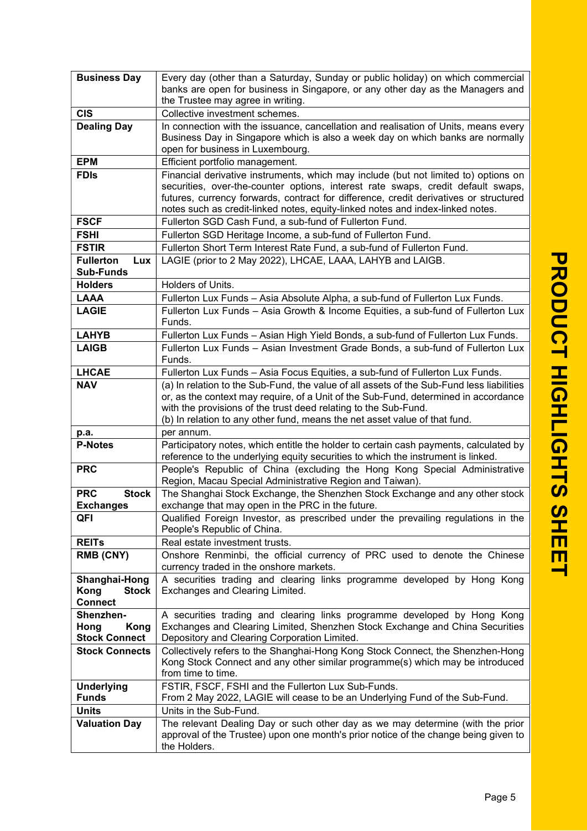| <b>Business Day</b>               | Every day (other than a Saturday, Sunday or public holiday) on which commercial                                                                                                  |
|-----------------------------------|----------------------------------------------------------------------------------------------------------------------------------------------------------------------------------|
|                                   | banks are open for business in Singapore, or any other day as the Managers and                                                                                                   |
|                                   | the Trustee may agree in writing.                                                                                                                                                |
| <b>CIS</b>                        | Collective investment schemes.                                                                                                                                                   |
| <b>Dealing Day</b>                | In connection with the issuance, cancellation and realisation of Units, means every                                                                                              |
|                                   | Business Day in Singapore which is also a week day on which banks are normally<br>open for business in Luxembourg.                                                               |
| <b>EPM</b>                        | Efficient portfolio management.                                                                                                                                                  |
| <b>FDIS</b>                       | Financial derivative instruments, which may include (but not limited to) options on                                                                                              |
|                                   | securities, over-the-counter options, interest rate swaps, credit default swaps,                                                                                                 |
|                                   | futures, currency forwards, contract for difference, credit derivatives or structured                                                                                            |
|                                   | notes such as credit-linked notes, equity-linked notes and index-linked notes.                                                                                                   |
| <b>FSCF</b>                       | Fullerton SGD Cash Fund, a sub-fund of Fullerton Fund.                                                                                                                           |
| <b>FSHI</b>                       | Fullerton SGD Heritage Income, a sub-fund of Fullerton Fund.                                                                                                                     |
| <b>FSTIR</b>                      | Fullerton Short Term Interest Rate Fund, a sub-fund of Fullerton Fund.                                                                                                           |
| <b>Fullerton</b><br>Lux           | LAGIE (prior to 2 May 2022), LHCAE, LAAA, LAHYB and LAIGB.                                                                                                                       |
| <b>Sub-Funds</b>                  |                                                                                                                                                                                  |
| <b>Holders</b>                    | Holders of Units.                                                                                                                                                                |
| <b>LAAA</b><br><b>LAGIE</b>       | Fullerton Lux Funds – Asia Absolute Alpha, a sub-fund of Fullerton Lux Funds.                                                                                                    |
|                                   | Fullerton Lux Funds - Asia Growth & Income Equities, a sub-fund of Fullerton Lux<br>Funds.                                                                                       |
| <b>LAHYB</b>                      | Fullerton Lux Funds - Asian High Yield Bonds, a sub-fund of Fullerton Lux Funds.                                                                                                 |
| <b>LAIGB</b>                      | Fullerton Lux Funds - Asian Investment Grade Bonds, a sub-fund of Fullerton Lux                                                                                                  |
|                                   | Funds.                                                                                                                                                                           |
| <b>LHCAE</b>                      | Fullerton Lux Funds - Asia Focus Equities, a sub-fund of Fullerton Lux Funds.                                                                                                    |
| <b>NAV</b>                        | (a) In relation to the Sub-Fund, the value of all assets of the Sub-Fund less liabilities<br>or, as the context may require, of a Unit of the Sub-Fund, determined in accordance |
|                                   | with the provisions of the trust deed relating to the Sub-Fund.                                                                                                                  |
|                                   | (b) In relation to any other fund, means the net asset value of that fund.                                                                                                       |
| p.a.                              | per annum.                                                                                                                                                                       |
| <b>P-Notes</b>                    | Participatory notes, which entitle the holder to certain cash payments, calculated by<br>reference to the underlying equity securities to which the instrument is linked.        |
| <b>PRC</b>                        | People's Republic of China (excluding the Hong Kong Special Administrative<br>Region, Macau Special Administrative Region and Taiwan).                                           |
| <b>PRC</b><br><b>Stock</b>        | The Shanghai Stock Exchange, the Shenzhen Stock Exchange and any other stock                                                                                                     |
| <b>Exchanges</b>                  | exchange that may open in the PRC in the future.                                                                                                                                 |
| QFI                               | Qualified Foreign Investor, as prescribed under the prevailing regulations in the<br>People's Republic of China.                                                                 |
| <b>REITS</b>                      | Real estate investment trusts.                                                                                                                                                   |
| <b>RMB (CNY)</b>                  | Onshore Renminbi, the official currency of PRC used to denote the Chinese<br>currency traded in the onshore markets.                                                             |
| Shanghai-Hong                     | A securities trading and clearing links programme developed by Hong Kong                                                                                                         |
| Kong<br><b>Stock</b>              | Exchanges and Clearing Limited.                                                                                                                                                  |
| <b>Connect</b><br>Shenzhen-       | A securities trading and clearing links programme developed by Hong Kong                                                                                                         |
| Hong<br>Kong                      | Exchanges and Clearing Limited, Shenzhen Stock Exchange and China Securities                                                                                                     |
| <b>Stock Connect</b>              | Depository and Clearing Corporation Limited.                                                                                                                                     |
| <b>Stock Connects</b>             | Collectively refers to the Shanghai-Hong Kong Stock Connect, the Shenzhen-Hong                                                                                                   |
|                                   | Kong Stock Connect and any other similar programme(s) which may be introduced                                                                                                    |
|                                   | from time to time.                                                                                                                                                               |
| <b>Underlying</b><br><b>Funds</b> | FSTIR, FSCF, FSHI and the Fullerton Lux Sub-Funds.<br>From 2 May 2022, LAGIE will cease to be an Underlying Fund of the Sub-Fund.                                                |
| <b>Units</b>                      | Units in the Sub-Fund.                                                                                                                                                           |
| <b>Valuation Day</b>              | The relevant Dealing Day or such other day as we may determine (with the prior                                                                                                   |
|                                   | approval of the Trustee) upon one month's prior notice of the change being given to                                                                                              |
|                                   | the Holders.                                                                                                                                                                     |